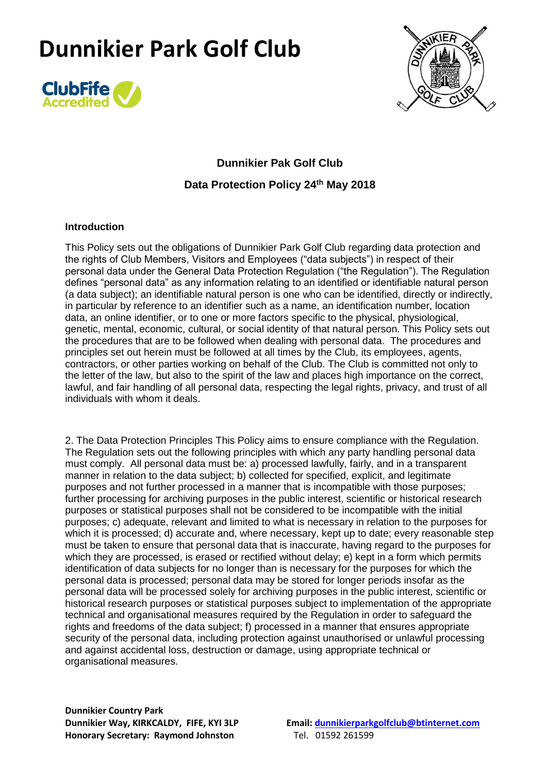



**Dunnikier Pak Golf Club Data Protection Policy 24th May 2018**

#### **Introduction**

This Policy sets out the obligations of Dunnikier Park Golf Club regarding data protection and the rights of Club Members, Visitors and Employees ("data subjects") in respect of their personal data under the General Data Protection Regulation ("the Regulation"). The Regulation defines "personal data" as any information relating to an identified or identifiable natural person (a data subject); an identifiable natural person is one who can be identified, directly or indirectly, in particular by reference to an identifier such as a name, an identification number, location data, an online identifier, or to one or more factors specific to the physical, physiological, genetic, mental, economic, cultural, or social identity of that natural person. This Policy sets out the procedures that are to be followed when dealing with personal data. The procedures and principles set out herein must be followed at all times by the Club, its employees, agents, contractors, or other parties working on behalf of the Club. The Club is committed not only to the letter of the law, but also to the spirit of the law and places high importance on the correct, lawful, and fair handling of all personal data, respecting the legal rights, privacy, and trust of all individuals with whom it deals.

2. The Data Protection Principles This Policy aims to ensure compliance with the Regulation. The Regulation sets out the following principles with which any party handling personal data must comply. All personal data must be: a) processed lawfully, fairly, and in a transparent manner in relation to the data subject; b) collected for specified, explicit, and legitimate purposes and not further processed in a manner that is incompatible with those purposes; further processing for archiving purposes in the public interest, scientific or historical research purposes or statistical purposes shall not be considered to be incompatible with the initial purposes; c) adequate, relevant and limited to what is necessary in relation to the purposes for which it is processed; d) accurate and, where necessary, kept up to date; every reasonable step must be taken to ensure that personal data that is inaccurate, having regard to the purposes for which they are processed, is erased or rectified without delay; e) kept in a form which permits identification of data subjects for no longer than is necessary for the purposes for which the personal data is processed; personal data may be stored for longer periods insofar as the personal data will be processed solely for archiving purposes in the public interest, scientific or historical research purposes or statistical purposes subject to implementation of the appropriate technical and organisational measures required by the Regulation in order to safeguard the rights and freedoms of the data subject; f) processed in a manner that ensures appropriate security of the personal data, including protection against unauthorised or unlawful processing and against accidental loss, destruction or damage, using appropriate technical or organisational measures.

**Dunnikier Country Park Honorary Secretary: Raymond Johnston** Tel. 01592 261599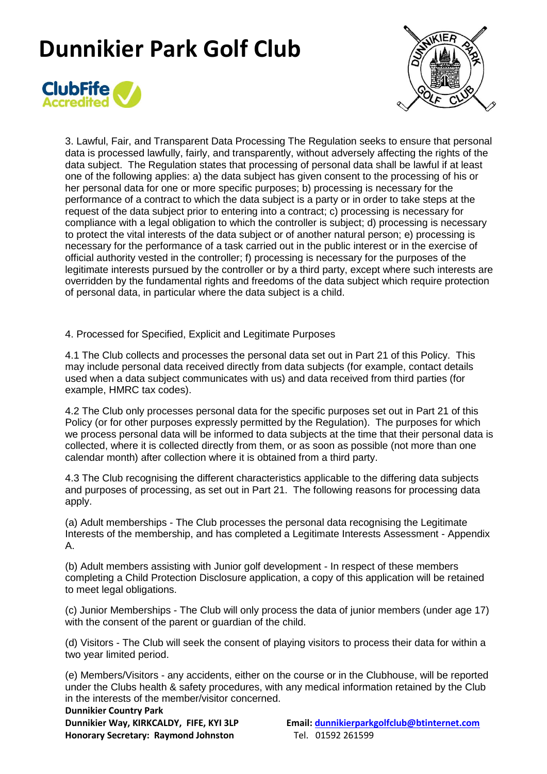



3. Lawful, Fair, and Transparent Data Processing The Regulation seeks to ensure that personal data is processed lawfully, fairly, and transparently, without adversely affecting the rights of the data subject. The Regulation states that processing of personal data shall be lawful if at least one of the following applies: a) the data subject has given consent to the processing of his or her personal data for one or more specific purposes; b) processing is necessary for the performance of a contract to which the data subject is a party or in order to take steps at the request of the data subject prior to entering into a contract; c) processing is necessary for compliance with a legal obligation to which the controller is subject; d) processing is necessary to protect the vital interests of the data subject or of another natural person; e) processing is necessary for the performance of a task carried out in the public interest or in the exercise of official authority vested in the controller; f) processing is necessary for the purposes of the legitimate interests pursued by the controller or by a third party, except where such interests are overridden by the fundamental rights and freedoms of the data subject which require protection of personal data, in particular where the data subject is a child.

4. Processed for Specified, Explicit and Legitimate Purposes

4.1 The Club collects and processes the personal data set out in Part 21 of this Policy. This may include personal data received directly from data subjects (for example, contact details used when a data subject communicates with us) and data received from third parties (for example, HMRC tax codes).

4.2 The Club only processes personal data for the specific purposes set out in Part 21 of this Policy (or for other purposes expressly permitted by the Regulation). The purposes for which we process personal data will be informed to data subjects at the time that their personal data is collected, where it is collected directly from them, or as soon as possible (not more than one calendar month) after collection where it is obtained from a third party.

4.3 The Club recognising the different characteristics applicable to the differing data subjects and purposes of processing, as set out in Part 21. The following reasons for processing data apply.

(a) Adult memberships - The Club processes the personal data recognising the Legitimate Interests of the membership, and has completed a Legitimate Interests Assessment - Appendix A.

(b) Adult members assisting with Junior golf development - In respect of these members completing a Child Protection Disclosure application, a copy of this application will be retained to meet legal obligations.

(c) Junior Memberships - The Club will only process the data of junior members (under age 17) with the consent of the parent or guardian of the child.

(d) Visitors - The Club will seek the consent of playing visitors to process their data for within a two year limited period.

(e) Members/Visitors - any accidents, either on the course or in the Clubhouse, will be reported under the Clubs health & safety procedures, with any medical information retained by the Club in the interests of the member/visitor concerned.

**Dunnikier Country Park Honorary Secretary: Raymond Johnston** Tel. 01592 261599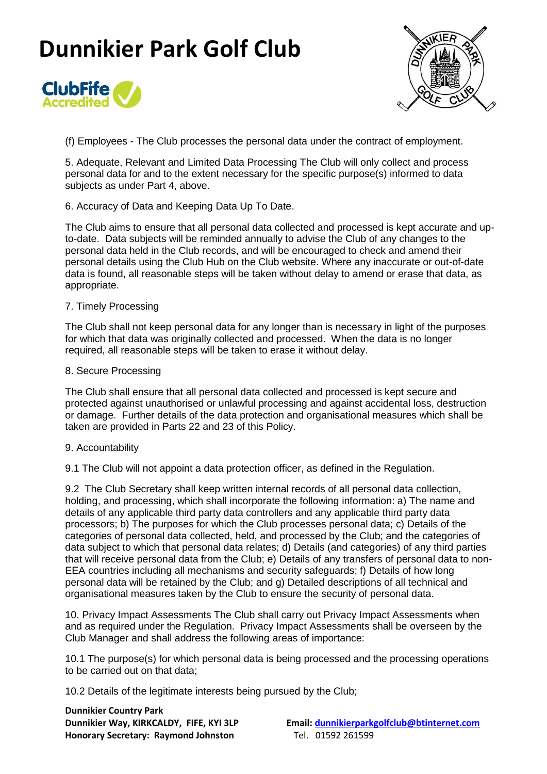



(f) Employees - The Club processes the personal data under the contract of employment.

5. Adequate, Relevant and Limited Data Processing The Club will only collect and process personal data for and to the extent necessary for the specific purpose(s) informed to data subjects as under Part 4, above.

6. Accuracy of Data and Keeping Data Up To Date.

The Club aims to ensure that all personal data collected and processed is kept accurate and upto-date. Data subjects will be reminded annually to advise the Club of any changes to the personal data held in the Club records, and will be encouraged to check and amend their personal details using the Club Hub on the Club website. Where any inaccurate or out-of-date data is found, all reasonable steps will be taken without delay to amend or erase that data, as appropriate.

### 7. Timely Processing

The Club shall not keep personal data for any longer than is necessary in light of the purposes for which that data was originally collected and processed. When the data is no longer required, all reasonable steps will be taken to erase it without delay.

#### 8. Secure Processing

The Club shall ensure that all personal data collected and processed is kept secure and protected against unauthorised or unlawful processing and against accidental loss, destruction or damage. Further details of the data protection and organisational measures which shall be taken are provided in Parts 22 and 23 of this Policy.

### 9. Accountability

9.1 The Club will not appoint a data protection officer, as defined in the Regulation.

9.2 The Club Secretary shall keep written internal records of all personal data collection, holding, and processing, which shall incorporate the following information: a) The name and details of any applicable third party data controllers and any applicable third party data processors; b) The purposes for which the Club processes personal data; c) Details of the categories of personal data collected, held, and processed by the Club; and the categories of data subject to which that personal data relates; d) Details (and categories) of any third parties that will receive personal data from the Club; e) Details of any transfers of personal data to non-EEA countries including all mechanisms and security safeguards; f) Details of how long personal data will be retained by the Club; and g) Detailed descriptions of all technical and organisational measures taken by the Club to ensure the security of personal data.

10. Privacy Impact Assessments The Club shall carry out Privacy Impact Assessments when and as required under the Regulation. Privacy Impact Assessments shall be overseen by the Club Manager and shall address the following areas of importance:

10.1 The purpose(s) for which personal data is being processed and the processing operations to be carried out on that data;

10.2 Details of the legitimate interests being pursued by the Club;

**Dunnikier Country Park Honorary Secretary: Raymond Johnston** Tel. 01592 261599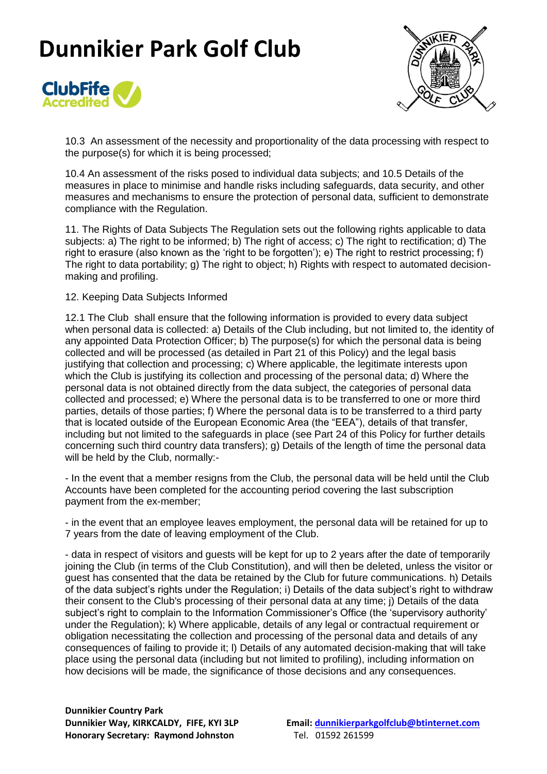



10.3 An assessment of the necessity and proportionality of the data processing with respect to the purpose(s) for which it is being processed;

10.4 An assessment of the risks posed to individual data subjects; and 10.5 Details of the measures in place to minimise and handle risks including safeguards, data security, and other measures and mechanisms to ensure the protection of personal data, sufficient to demonstrate compliance with the Regulation.

11. The Rights of Data Subjects The Regulation sets out the following rights applicable to data subjects: a) The right to be informed; b) The right of access; c) The right to rectification; d) The right to erasure (also known as the 'right to be forgotten'); e) The right to restrict processing; f) The right to data portability; g) The right to object; h) Rights with respect to automated decisionmaking and profiling.

#### 12. Keeping Data Subjects Informed

12.1 The Club shall ensure that the following information is provided to every data subject when personal data is collected: a) Details of the Club including, but not limited to, the identity of any appointed Data Protection Officer; b) The purpose(s) for which the personal data is being collected and will be processed (as detailed in Part 21 of this Policy) and the legal basis justifying that collection and processing; c) Where applicable, the legitimate interests upon which the Club is justifying its collection and processing of the personal data; d) Where the personal data is not obtained directly from the data subject, the categories of personal data collected and processed; e) Where the personal data is to be transferred to one or more third parties, details of those parties; f) Where the personal data is to be transferred to a third party that is located outside of the European Economic Area (the "EEA"), details of that transfer, including but not limited to the safeguards in place (see Part 24 of this Policy for further details concerning such third country data transfers); g) Details of the length of time the personal data will be held by the Club, normally:-

- In the event that a member resigns from the Club, the personal data will be held until the Club Accounts have been completed for the accounting period covering the last subscription payment from the ex-member;

- in the event that an employee leaves employment, the personal data will be retained for up to 7 years from the date of leaving employment of the Club.

- data in respect of visitors and guests will be kept for up to 2 years after the date of temporarily joining the Club (in terms of the Club Constitution), and will then be deleted, unless the visitor or guest has consented that the data be retained by the Club for future communications. h) Details of the data subject's rights under the Regulation; i) Details of the data subject's right to withdraw their consent to the Club's processing of their personal data at any time; j) Details of the data subject's right to complain to the Information Commissioner's Office (the 'supervisory authority' under the Regulation); k) Where applicable, details of any legal or contractual requirement or obligation necessitating the collection and processing of the personal data and details of any consequences of failing to provide it; l) Details of any automated decision-making that will take place using the personal data (including but not limited to profiling), including information on how decisions will be made, the significance of those decisions and any consequences.

**Dunnikier Country Park Honorary Secretary: Raymond Johnston** Tel. 01592 261599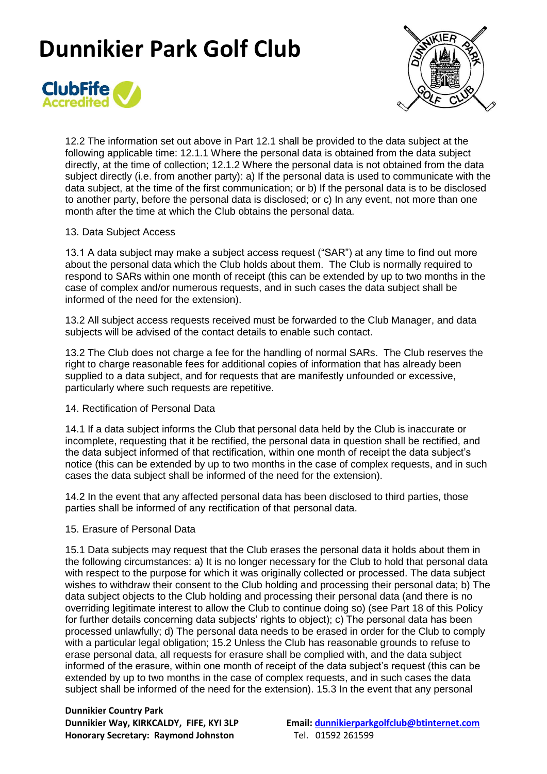



12.2 The information set out above in Part 12.1 shall be provided to the data subject at the following applicable time: 12.1.1 Where the personal data is obtained from the data subject directly, at the time of collection; 12.1.2 Where the personal data is not obtained from the data subject directly (i.e. from another party): a) If the personal data is used to communicate with the data subject, at the time of the first communication; or b) If the personal data is to be disclosed to another party, before the personal data is disclosed; or c) In any event, not more than one month after the time at which the Club obtains the personal data.

### 13. Data Subject Access

13.1 A data subject may make a subject access request ("SAR") at any time to find out more about the personal data which the Club holds about them. The Club is normally required to respond to SARs within one month of receipt (this can be extended by up to two months in the case of complex and/or numerous requests, and in such cases the data subject shall be informed of the need for the extension).

13.2 All subject access requests received must be forwarded to the Club Manager, and data subjects will be advised of the contact details to enable such contact.

13.2 The Club does not charge a fee for the handling of normal SARs. The Club reserves the right to charge reasonable fees for additional copies of information that has already been supplied to a data subject, and for requests that are manifestly unfounded or excessive, particularly where such requests are repetitive.

### 14. Rectification of Personal Data

14.1 If a data subject informs the Club that personal data held by the Club is inaccurate or incomplete, requesting that it be rectified, the personal data in question shall be rectified, and the data subject informed of that rectification, within one month of receipt the data subject's notice (this can be extended by up to two months in the case of complex requests, and in such cases the data subject shall be informed of the need for the extension).

14.2 In the event that any affected personal data has been disclosed to third parties, those parties shall be informed of any rectification of that personal data.

### 15. Erasure of Personal Data

15.1 Data subjects may request that the Club erases the personal data it holds about them in the following circumstances: a) It is no longer necessary for the Club to hold that personal data with respect to the purpose for which it was originally collected or processed. The data subject wishes to withdraw their consent to the Club holding and processing their personal data; b) The data subject objects to the Club holding and processing their personal data (and there is no overriding legitimate interest to allow the Club to continue doing so) (see Part 18 of this Policy for further details concerning data subjects' rights to object); c) The personal data has been processed unlawfully; d) The personal data needs to be erased in order for the Club to comply with a particular legal obligation; 15.2 Unless the Club has reasonable grounds to refuse to erase personal data, all requests for erasure shall be complied with, and the data subject informed of the erasure, within one month of receipt of the data subject's request (this can be extended by up to two months in the case of complex requests, and in such cases the data subject shall be informed of the need for the extension). 15.3 In the event that any personal

**Dunnikier Country Park Honorary Secretary: Raymond Johnston** Tel. 01592 261599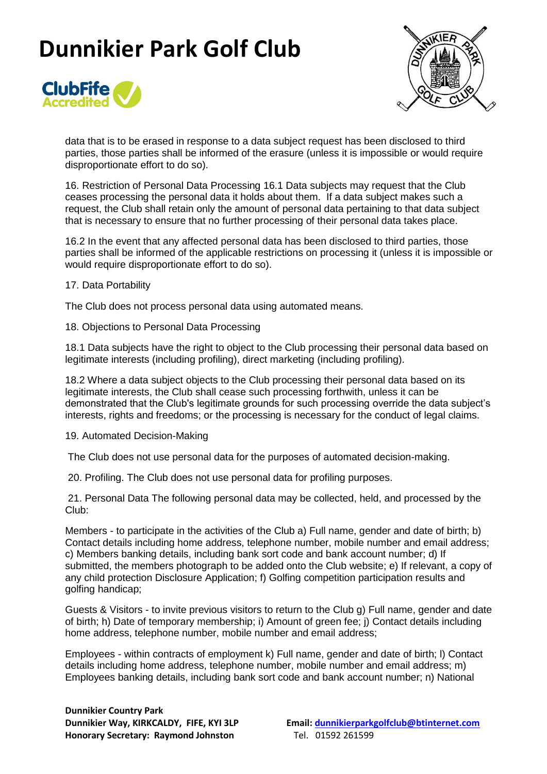



data that is to be erased in response to a data subject request has been disclosed to third parties, those parties shall be informed of the erasure (unless it is impossible or would require disproportionate effort to do so).

16. Restriction of Personal Data Processing 16.1 Data subjects may request that the Club ceases processing the personal data it holds about them. If a data subject makes such a request, the Club shall retain only the amount of personal data pertaining to that data subject that is necessary to ensure that no further processing of their personal data takes place.

16.2 In the event that any affected personal data has been disclosed to third parties, those parties shall be informed of the applicable restrictions on processing it (unless it is impossible or would require disproportionate effort to do so).

### 17. Data Portability

The Club does not process personal data using automated means.

18. Objections to Personal Data Processing

18.1 Data subjects have the right to object to the Club processing their personal data based on legitimate interests (including profiling), direct marketing (including profiling).

18.2 Where a data subject objects to the Club processing their personal data based on its legitimate interests, the Club shall cease such processing forthwith, unless it can be demonstrated that the Club's legitimate grounds for such processing override the data subject's interests, rights and freedoms; or the processing is necessary for the conduct of legal claims.

19. Automated Decision-Making

The Club does not use personal data for the purposes of automated decision-making.

20. Profiling. The Club does not use personal data for profiling purposes.

21. Personal Data The following personal data may be collected, held, and processed by the Club:

Members - to participate in the activities of the Club a) Full name, gender and date of birth; b) Contact details including home address, telephone number, mobile number and email address; c) Members banking details, including bank sort code and bank account number; d) If submitted, the members photograph to be added onto the Club website; e) If relevant, a copy of any child protection Disclosure Application; f) Golfing competition participation results and golfing handicap;

Guests & Visitors - to invite previous visitors to return to the Club g) Full name, gender and date of birth; h) Date of temporary membership; i) Amount of green fee; j) Contact details including home address, telephone number, mobile number and email address;

Employees - within contracts of employment k) Full name, gender and date of birth; l) Contact details including home address, telephone number, mobile number and email address; m) Employees banking details, including bank sort code and bank account number; n) National

**Dunnikier Country Park Honorary Secretary: Raymond Johnston** Tel. 01592 261599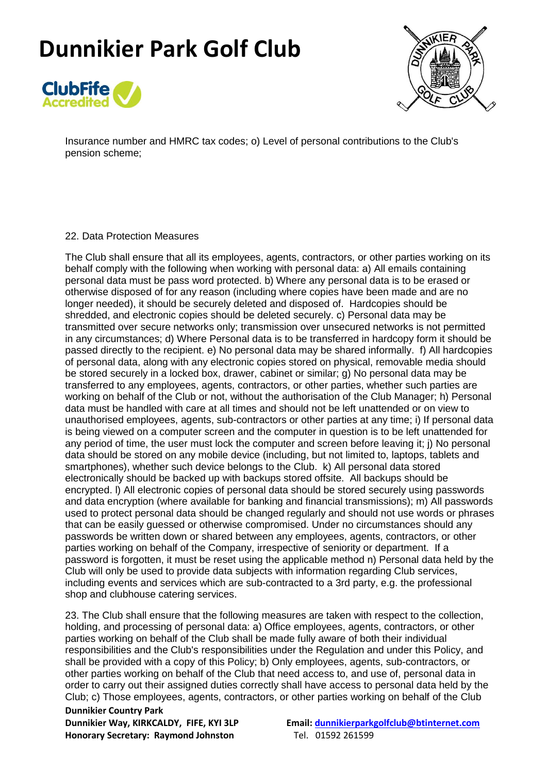



Insurance number and HMRC tax codes; o) Level of personal contributions to the Club's pension scheme;

### 22. Data Protection Measures

The Club shall ensure that all its employees, agents, contractors, or other parties working on its behalf comply with the following when working with personal data: a) All emails containing personal data must be pass word protected. b) Where any personal data is to be erased or otherwise disposed of for any reason (including where copies have been made and are no longer needed), it should be securely deleted and disposed of. Hardcopies should be shredded, and electronic copies should be deleted securely. c) Personal data may be transmitted over secure networks only; transmission over unsecured networks is not permitted in any circumstances; d) Where Personal data is to be transferred in hardcopy form it should be passed directly to the recipient. e) No personal data may be shared informally. f) All hardcopies of personal data, along with any electronic copies stored on physical, removable media should be stored securely in a locked box, drawer, cabinet or similar; g) No personal data may be transferred to any employees, agents, contractors, or other parties, whether such parties are working on behalf of the Club or not, without the authorisation of the Club Manager; h) Personal data must be handled with care at all times and should not be left unattended or on view to unauthorised employees, agents, sub-contractors or other parties at any time; i) If personal data is being viewed on a computer screen and the computer in question is to be left unattended for any period of time, the user must lock the computer and screen before leaving it; j) No personal data should be stored on any mobile device (including, but not limited to, laptops, tablets and smartphones), whether such device belongs to the Club. k) All personal data stored electronically should be backed up with backups stored offsite. All backups should be encrypted. l) All electronic copies of personal data should be stored securely using passwords and data encryption (where available for banking and financial transmissions); m) All passwords used to protect personal data should be changed regularly and should not use words or phrases that can be easily guessed or otherwise compromised. Under no circumstances should any passwords be written down or shared between any employees, agents, contractors, or other parties working on behalf of the Company, irrespective of seniority or department. If a password is forgotten, it must be reset using the applicable method n) Personal data held by the Club will only be used to provide data subjects with information regarding Club services, including events and services which are sub-contracted to a 3rd party, e.g. the professional shop and clubhouse catering services.

23. The Club shall ensure that the following measures are taken with respect to the collection, holding, and processing of personal data: a) Office employees, agents, contractors, or other parties working on behalf of the Club shall be made fully aware of both their individual responsibilities and the Club's responsibilities under the Regulation and under this Policy, and shall be provided with a copy of this Policy; b) Only employees, agents, sub-contractors, or other parties working on behalf of the Club that need access to, and use of, personal data in order to carry out their assigned duties correctly shall have access to personal data held by the Club; c) Those employees, agents, contractors, or other parties working on behalf of the Club

**Dunnikier Country Park Honorary Secretary: Raymond Johnston** Tel. 01592 261599